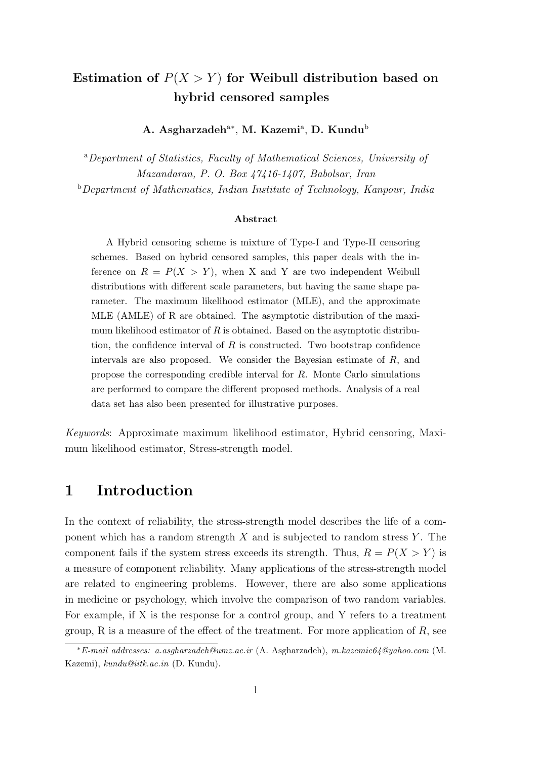## **Estimation of**  $P(X > Y)$  for Weibull distribution based on **hybrid censored samples**

**A. Asgharzadeh**<sup>a</sup>*<sup>∗</sup>* , **M. Kazemi**<sup>a</sup> , **D. Kundu**<sup>b</sup>

<sup>a</sup>*Department of Statistics, Faculty of Mathematical Sciences, University of Mazandaran, P. O. Box 47416-1407, Babolsar, Iran*

<sup>b</sup>*Department of Mathematics, Indian Institute of Technology, Kanpour, India*

#### **Abstract**

A Hybrid censoring scheme is mixture of Type-I and Type-II censoring schemes. Based on hybrid censored samples, this paper deals with the inference on  $R = P(X > Y)$ , when X and Y are two independent Weibull distributions with different scale parameters, but having the same shape parameter. The maximum likelihood estimator (MLE), and the approximate MLE (AMLE) of R are obtained. The asymptotic distribution of the maximum likelihood estimator of *R* is obtained. Based on the asymptotic distribution, the confidence interval of *R* is constructed. Two bootstrap confidence intervals are also proposed. We consider the Bayesian estimate of *R*, and propose the corresponding credible interval for *R*. Monte Carlo simulations are performed to compare the different proposed methods. Analysis of a real data set has also been presented for illustrative purposes.

*Keywords*: Approximate maximum likelihood estimator, Hybrid censoring, Maximum likelihood estimator, Stress-strength model.

### **1 Introduction**

In the context of reliability, the stress-strength model describes the life of a component which has a random strength *X* and is subjected to random stress *Y* . The component fails if the system stress exceeds its strength. Thus,  $R = P(X > Y)$  is a measure of component reliability. Many applications of the stress-strength model are related to engineering problems. However, there are also some applications in medicine or psychology, which involve the comparison of two random variables. For example, if X is the response for a control group, and Y refers to a treatment group, R is a measure of the effect of the treatment. For more application of *R*, see

*<sup>∗</sup>E-mail addresses: a.asgharzadeh@umz.ac.ir* (A. Asgharzadeh), *m.kazemie64@yahoo.com* (M. Kazemi), *kundu@iitk.ac.in* (D. Kundu).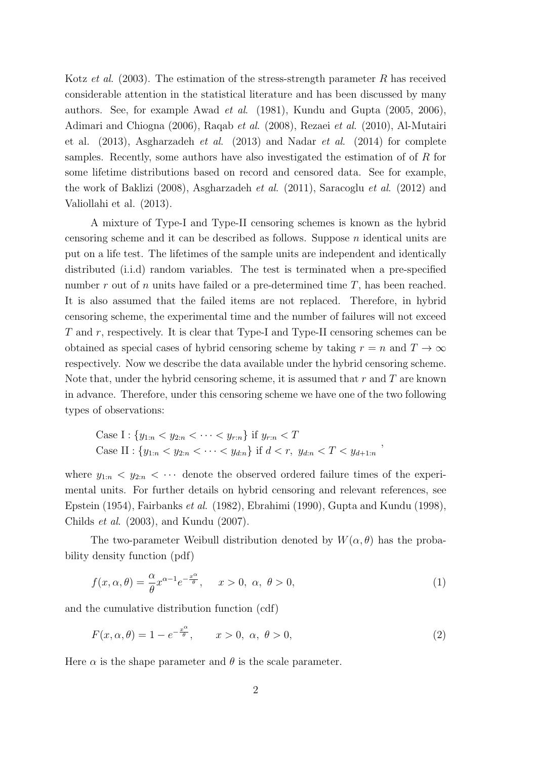Kotz *et al*. (2003). The estimation of the stress-strength parameter *R* has received considerable attention in the statistical literature and has been discussed by many authors. See, for example Awad *et al*. (1981), Kundu and Gupta (2005, 2006), Adimari and Chiogna (2006), Raqab *et al*. (2008), Rezaei *et al*. (2010), Al-Mutairi et al. (2013), Asgharzadeh *et al*. (2013) and Nadar *et al*. (2014) for complete samples. Recently, some authors have also investigated the estimation of of *R* for some lifetime distributions based on record and censored data. See for example, the work of Baklizi (2008), Asgharzadeh *et al*. (2011), Saracoglu *et al*. (2012) and Valiollahi et al. (2013).

A mixture of Type-I and Type-II censoring schemes is known as the hybrid censoring scheme and it can be described as follows. Suppose *n* identical units are put on a life test. The lifetimes of the sample units are independent and identically distributed (i.i.d) random variables. The test is terminated when a pre-specified number *r* out of *n* units have failed or a pre-determined time *T*, has been reached. It is also assumed that the failed items are not replaced. Therefore, in hybrid censoring scheme, the experimental time and the number of failures will not exceed *T* and *r*, respectively. It is clear that Type-I and Type-II censoring schemes can be obtained as special cases of hybrid censoring scheme by taking  $r = n$  and  $T \to \infty$ respectively. Now we describe the data available under the hybrid censoring scheme. Note that, under the hybrid censoring scheme, it is assumed that *r* and *T* are known in advance. Therefore, under this censoring scheme we have one of the two following types of observations:

Case I: 
$$
\{y_{1:n} < y_{2:n} < \cdots < y_{r:n}\}
$$
 if  $y_{r:n} < T$   
Case II:  $\{y_{1:n} < y_{2:n} < \cdots < y_{d:n}\}$  if  $d < r$ ,  $y_{d:n} < T < y_{d+1:n}$ 

where  $y_{1:n} < y_{2:n} < \cdots$  denote the observed ordered failure times of the experimental units. For further details on hybrid censoring and relevant references, see Epstein (1954), Fairbanks *et al*. (1982), Ebrahimi (1990), Gupta and Kundu (1998), Childs *et al*. (2003), and Kundu (2007).

The two-parameter Weibull distribution denoted by  $W(\alpha, \theta)$  has the probability density function (pdf)

$$
f(x, \alpha, \theta) = \frac{\alpha}{\theta} x^{\alpha - 1} e^{-\frac{x^{\alpha}}{\theta}}, \quad x > 0, \ \alpha, \ \theta > 0,
$$
 (1)

and the cumulative distribution function (cdf)

$$
F(x, \alpha, \theta) = 1 - e^{-\frac{x^{\alpha}}{\theta}}, \qquad x > 0, \alpha, \theta > 0,
$$
\n
$$
(2)
$$

Here  $\alpha$  is the shape parameter and  $\theta$  is the scale parameter.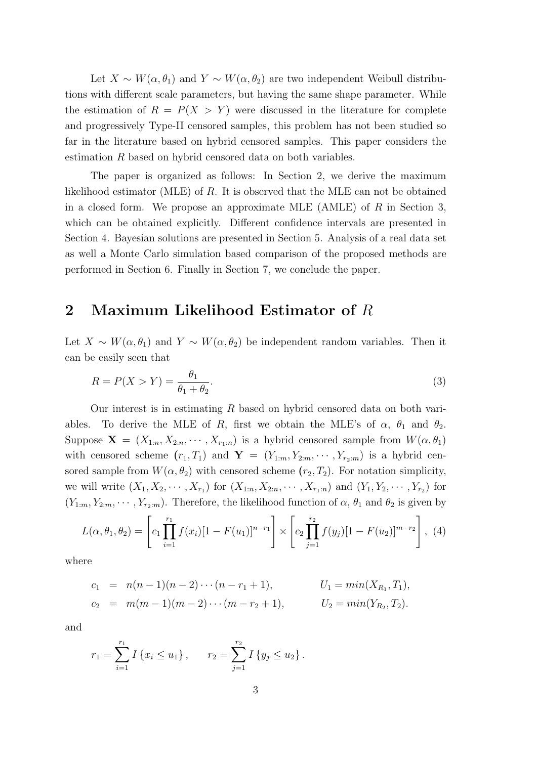Let  $X \sim W(\alpha, \theta_1)$  and  $Y \sim W(\alpha, \theta_2)$  are two independent Weibull distributions with different scale parameters, but having the same shape parameter. While the estimation of  $R = P(X > Y)$  were discussed in the literature for complete and progressively Type-II censored samples, this problem has not been studied so far in the literature based on hybrid censored samples. This paper considers the estimation *R* based on hybrid censored data on both variables.

The paper is organized as follows: In Section 2, we derive the maximum likelihood estimator (MLE) of *R*. It is observed that the MLE can not be obtained in a closed form. We propose an approximate MLE (AMLE) of *R* in Section 3, which can be obtained explicitly. Different confidence intervals are presented in Section 4. Bayesian solutions are presented in Section 5. Analysis of a real data set as well a Monte Carlo simulation based comparison of the proposed methods are performed in Section 6. Finally in Section 7, we conclude the paper.

### **2 Maximum Likelihood Estimator of** *R*

Let  $X \sim W(\alpha, \theta_1)$  and  $Y \sim W(\alpha, \theta_2)$  be independent random variables. Then it can be easily seen that

$$
R = P(X > Y) = \frac{\theta_1}{\theta_1 + \theta_2}.\tag{3}
$$

Our interest is in estimating *R* based on hybrid censored data on both variables. To derive the MLE of *R*, first we obtain the MLE's of  $\alpha$ ,  $\theta_1$  and  $\theta_2$ . Suppose  $\mathbf{X} = (X_{1:n}, X_{2:n}, \cdots, X_{r_1:n})$  is a hybrid censored sample from  $W(\alpha, \theta_1)$ with censored scheme  $(r_1, T_1)$  and  $\mathbf{Y} = (Y_{1:m}, Y_{2:m}, \cdots, Y_{r_2:m})$  is a hybrid censored sample from  $W(\alpha, \theta_2)$  with censored scheme  $(r_2, T_2)$ . For notation simplicity, we will write  $(X_1, X_2, \dots, X_{r_1})$  for  $(X_{1:n}, X_{2:n}, \dots, X_{r_1:n})$  and  $(Y_1, Y_2, \dots, Y_{r_2})$  for  $(Y_{1:m}, Y_{2:m}, \dots, Y_{r_2:m})$ . Therefore, the likelihood function of  $\alpha$ ,  $\theta_1$  and  $\theta_2$  is given by

$$
L(\alpha, \theta_1, \theta_2) = \left[c_1 \prod_{i=1}^{r_1} f(x_i) [1 - F(u_1)]^{n-r_1}\right] \times \left[c_2 \prod_{j=1}^{r_2} f(y_j) [1 - F(u_2)]^{m-r_2}\right], (4)
$$

where

$$
c_1 = n(n-1)(n-2)\cdots(n-r_1+1), \qquad U_1 = min(X_{R_1}, T_1),
$$
  
\n
$$
c_2 = m(m-1)(m-2)\cdots(m-r_2+1), \qquad U_2 = min(Y_{R_2}, T_2).
$$

and

$$
r_1 = \sum_{i=1}^{r_1} I\{x_i \le u_1\}, \qquad r_2 = \sum_{j=1}^{r_2} I\{y_j \le u_2\}.
$$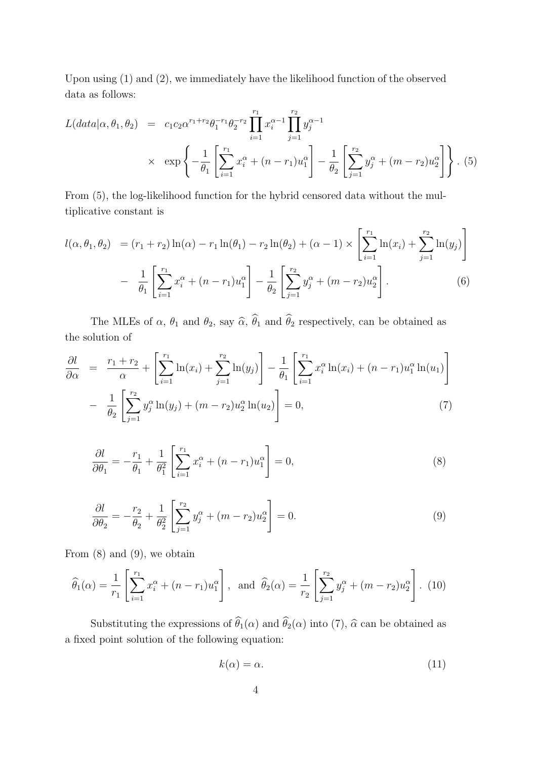Upon using (1) and (2), we immediately have the likelihood function of the observed data as follows:

$$
L(data|\alpha, \theta_1, \theta_2) = c_1 c_2 \alpha^{r_1 + r_2} \theta_1^{-r_1} \theta_2^{-r_2} \prod_{i=1}^{r_1} x_i^{\alpha - 1} \prod_{j=1}^{r_2} y_j^{\alpha - 1}
$$
  
 
$$
\times \exp\left\{-\frac{1}{\theta_1} \left[ \sum_{i=1}^{r_1} x_i^{\alpha} + (n - r_1) u_1^{\alpha} \right] - \frac{1}{\theta_2} \left[ \sum_{j=1}^{r_2} y_j^{\alpha} + (m - r_2) u_2^{\alpha} \right] \right\}. (5)
$$

From (5), the log-likelihood function for the hybrid censored data without the multiplicative constant is

$$
l(\alpha, \theta_1, \theta_2) = (r_1 + r_2) \ln(\alpha) - r_1 \ln(\theta_1) - r_2 \ln(\theta_2) + (\alpha - 1) \times \left[ \sum_{i=1}^{r_1} \ln(x_i) + \sum_{j=1}^{r_2} \ln(y_j) \right]
$$

$$
- \frac{1}{\theta_1} \left[ \sum_{i=1}^{r_1} x_i^{\alpha} + (n - r_1) u_1^{\alpha} \right] - \frac{1}{\theta_2} \left[ \sum_{j=1}^{r_2} y_j^{\alpha} + (m - r_2) u_2^{\alpha} \right]. \tag{6}
$$

The MLEs of  $\alpha$ ,  $\theta_1$  and  $\theta_2$ , say  $\widehat{\alpha}$ ,  $\widehat{\theta}_1$  and  $\widehat{\theta}_2$  respectively, can be obtained as the solution of

$$
\frac{\partial l}{\partial \alpha} = \frac{r_1 + r_2}{\alpha} + \left[ \sum_{i=1}^{r_1} \ln(x_i) + \sum_{j=1}^{r_2} \ln(y_j) \right] - \frac{1}{\theta_1} \left[ \sum_{i=1}^{r_1} x_i^{\alpha} \ln(x_i) + (n - r_1) u_1^{\alpha} \ln(u_1) \right] - \frac{1}{\theta_2} \left[ \sum_{j=1}^{r_2} y_j^{\alpha} \ln(y_j) + (m - r_2) u_2^{\alpha} \ln(u_2) \right] = 0,
$$
\n(7)

$$
\frac{\partial l}{\partial \theta_1} = -\frac{r_1}{\theta_1} + \frac{1}{\theta_1^2} \left[ \sum_{i=1}^{r_1} x_i^{\alpha} + (n - r_1) u_1^{\alpha} \right] = 0,
$$
\n(8)

$$
\frac{\partial l}{\partial \theta_2} = -\frac{r_2}{\theta_2} + \frac{1}{\theta_2^2} \left[ \sum_{j=1}^{r_2} y_j^{\alpha} + (m - r_2) u_2^{\alpha} \right] = 0.
$$
\n(9)

From (8) and (9), we obtain

$$
\widehat{\theta}_1(\alpha) = \frac{1}{r_1} \left[ \sum_{i=1}^{r_1} x_i^{\alpha} + (n - r_1) u_1^{\alpha} \right], \text{ and } \widehat{\theta}_2(\alpha) = \frac{1}{r_2} \left[ \sum_{j=1}^{r_2} y_j^{\alpha} + (m - r_2) u_2^{\alpha} \right]. \tag{10}
$$

Substituting the expressions of  $\hat{\theta}_1(\alpha)$  and  $\hat{\theta}_2(\alpha)$  into (7),  $\hat{\alpha}$  can be obtained as a fixed point solution of the following equation:

$$
k(\alpha) = \alpha. \tag{11}
$$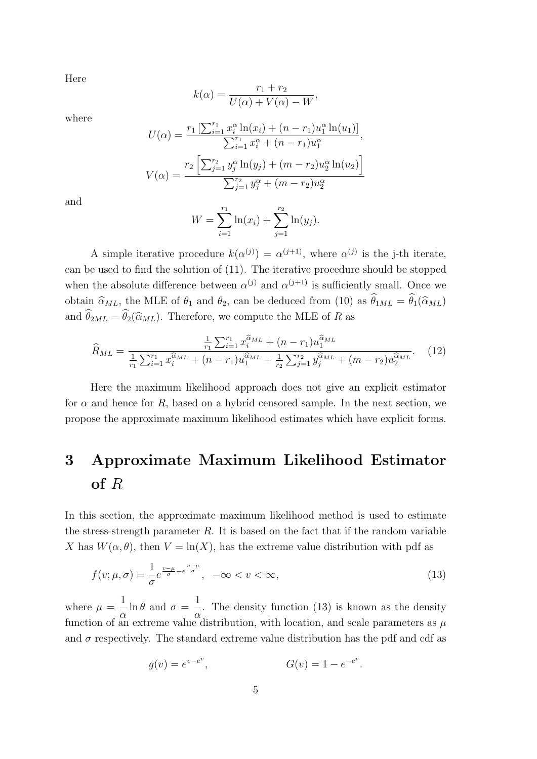Here

$$
k(\alpha) = \frac{r_1 + r_2}{U(\alpha) + V(\alpha) - W},
$$

∑*<sup>r</sup>*<sup>1</sup>

where

$$
U(\alpha) = \frac{r_1 \left[\sum_{i=1}^{r_1} x_i^{\alpha} \ln(x_i) + (n - r_1)u_1^{\alpha} \ln(u_1)\right]}{\sum_{i=1}^{r_1} x_i^{\alpha} + (n - r_1)u_1^{\alpha}},
$$

$$
V(\alpha) = \frac{r_2 \left[\sum_{j=1}^{r_2} y_j^{\alpha} \ln(y_j) + (m - r_2)u_2^{\alpha} \ln(u_2)\right]}{\sum_{j=1}^{r_2} y_j^{\alpha} + (m - r_2)u_2^{\alpha}}
$$

and

$$
W = \sum_{i=1}^{r_1} \ln(x_i) + \sum_{j=1}^{r_2} \ln(y_j).
$$

A simple iterative procedure  $k(\alpha^{(j)}) = \alpha^{(j+1)}$ , where  $\alpha^{(j)}$  is the j-th iterate, can be used to find the solution of (11). The iterative procedure should be stopped when the absolute difference between  $\alpha^{(j)}$  and  $\alpha^{(j+1)}$  is sufficiently small. Once we obtain  $\hat{\alpha}_{ML}$ , the MLE of  $\theta_1$  and  $\theta_2$ , can be deduced from (10) as  $\hat{\theta}_{1ML} = \hat{\theta}_1(\hat{\alpha}_{ML})$ and  $\hat{\theta}_{2ML} = \hat{\theta}_2(\hat{\alpha}_{ML})$ . Therefore, we compute the MLE of *R* as

$$
\widehat{R}_{ML} = \frac{\frac{1}{r_1} \sum_{i=1}^{r_1} x_i^{\widehat{\alpha}_{ML}} + (n - r_1) u_1^{\widehat{\alpha}_{ML}}}{\frac{1}{r_1} \sum_{i=1}^{r_1} x_i^{\widehat{\alpha}_{ML}} + (n - r_1) u_1^{\widehat{\alpha}_{ML}} + \frac{1}{r_2} \sum_{j=1}^{r_2} y_j^{\widehat{\alpha}_{ML}} + (m - r_2) u_2^{\widehat{\alpha}_{ML}}}.
$$
(12)

Here the maximum likelihood approach does not give an explicit estimator for  $\alpha$  and hence for  $R$ , based on a hybrid censored sample. In the next section, we propose the approximate maximum likelihood estimates which have explicit forms.

# **3 Approximate Maximum Likelihood Estimator of** *R*

In this section, the approximate maximum likelihood method is used to estimate the stress-strength parameter *R*. It is based on the fact that if the random variable *X* has  $W(\alpha, \theta)$ , then  $V = \ln(X)$ , has the extreme value distribution with pdf as

$$
f(v; \mu, \sigma) = \frac{1}{\sigma} e^{\frac{v - \mu}{\sigma} - e^{\frac{v - \mu}{\sigma}}}, \quad -\infty < v < \infty,
$$
\n<sup>(13)</sup>

where  $\mu =$ 1 *α*  $\ln \theta$  and  $\sigma =$ 1 *α* . The density function (13) is known as the density function of an extreme value distribution, with location, and scale parameters as  $\mu$ and  $\sigma$  respectively. The standard extreme value distribution has the pdf and cdf as

$$
g(v) = e^{v - e^v}, \t G(v) = 1 - e^{-e^v}.
$$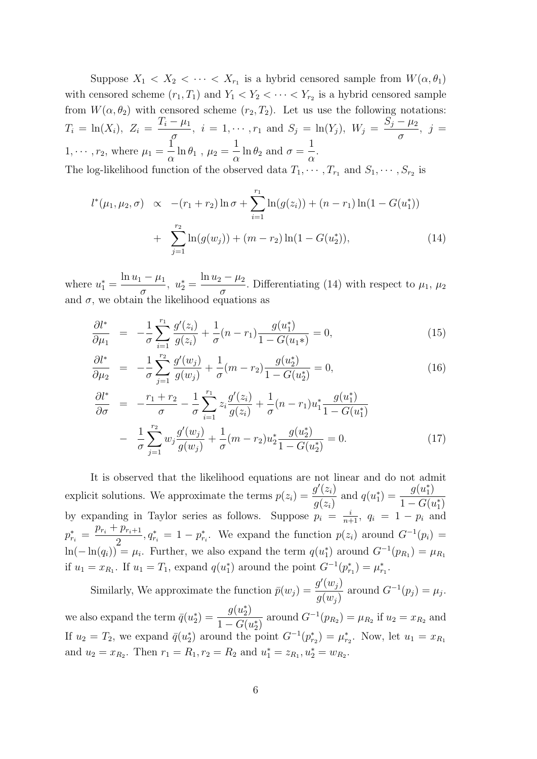Suppose  $X_1 \lt X_2 \lt \cdots \lt X_{r_1}$  is a hybrid censored sample from  $W(\alpha, \theta_1)$ with censored scheme  $(r_1, T_1)$  and  $Y_1 < Y_2 < \cdots < Y_{r_2}$  is a hybrid censored sample from  $W(\alpha, \theta_2)$  with censored scheme  $(r_2, T_2)$ . Let us use the following notations:  $T_i = \ln(X_i)$ ,  $Z_i =$  $T_i - \mu_1$  $\frac{r}{\sigma}$ ,  $i = 1, \dots, r_1$  and  $S_j = \ln(Y_j)$ ,  $W_j =$  $S_j - \mu_2$ *σ*  $, j =$  $1, \cdots, r_2$ , where  $\mu_1 =$ 1  $\frac{1}{\alpha} \ln \theta_1$ ,  $\mu_2 =$ 1  $\frac{1}{\alpha} \ln \theta_2$  and  $\sigma =$ 1 *α* . The log-likelihood function of the observed data  $T_1, \dots, T_{r_1}$  and  $S_1, \dots, S_{r_2}$  is

$$
l^*(\mu_1, \mu_2, \sigma) \propto -(r_1 + r_2) \ln \sigma + \sum_{i=1}^{r_1} \ln(g(z_i)) + (n - r_1) \ln(1 - G(u_1^*))
$$
  
+ 
$$
\sum_{j=1}^{r_2} \ln(g(w_j)) + (m - r_2) \ln(1 - G(u_2^*)), \tag{14}
$$

where  $u_1^* =$ ln *u*<sup>1</sup> *− µ*<sup>1</sup> *σ*  $, u_2^* =$ ln *u*<sup>2</sup> *− µ*<sup>2</sup>  $\frac{\mu_2}{\sigma}$ . Differentiating (14) with respect to  $\mu_1$ ,  $\mu_2$ and  $\sigma$ , we obtain the likelihood equations as

$$
\frac{\partial l^*}{\partial \mu_1} = -\frac{1}{\sigma} \sum_{i=1}^{r_1} \frac{g'(z_i)}{g(z_i)} + \frac{1}{\sigma} (n - r_1) \frac{g(u_1^*)}{1 - G(u_1^*)} = 0, \tag{15}
$$

$$
\frac{\partial l^*}{\partial \mu_2} = -\frac{1}{\sigma} \sum_{j=1}^{r_2} \frac{g'(w_j)}{g(w_j)} + \frac{1}{\sigma} (m - r_2) \frac{g(u_2^*)}{1 - G(u_2^*)} = 0, \tag{16}
$$

$$
\frac{\partial l^*}{\partial \sigma} = -\frac{r_1 + r_2}{\sigma} - \frac{1}{\sigma} \sum_{i=1}^{r_1} z_i \frac{g'(z_i)}{g(z_i)} + \frac{1}{\sigma} (n - r_1) u_1^* \frac{g(u_1^*)}{1 - G(u_1^*)} \n- \frac{1}{\sigma} \sum_{j=1}^{r_2} w_j \frac{g'(w_j)}{g(w_j)} + \frac{1}{\sigma} (m - r_2) u_2^* \frac{g(u_2^*)}{1 - G(u_2^*)} = 0.
$$
\n(17)

It is observed that the likelihood equations are not linear and do not admit explicit solutions. We approximate the terms  $p(z_i) = \frac{g'(z_i)}{g(z_i)}$  $g(z_i)$ and  $q(u_1^*) = \frac{g(u_1^*)}{1 - C(u_1^*)}$  $1 - G(u_1^*)$ by expanding in Taylor series as follows. Suppose  $p_i = \frac{i}{n+1}$ ,  $q_i = 1 - p_i$  and  $p_{r_i}^* =$  $p_{r_i} + p_{r_i+1}$ 2  $a_{r_i}^* = 1 - p_{r_i}^*$ . We expand the function  $p(z_i)$  around  $G^{-1}(p_i) =$  $\ln(-\ln(q_i)) = \mu_i$ . Further, we also expand the term  $q(u_1^*)$  around  $G^{-1}(p_{R_1}) = \mu_{R_1}$ if  $u_1 = x_{R_1}$ . If  $u_1 = T_1$ , expand  $q(u_1^*)$  around the point  $G^{-1}(p_{r_1}^*) = \mu_{r_1}^*$ .

Similarly, We approximate the function  $\bar{p}(w_j) = \frac{g'(w_j)}{g(w_j)}$  $g(w_j)$ around  $G^{-1}(p_j) = \mu_j$ . we also expand the term  $\bar{q}(u_2^*) = \frac{g(u_2^*)}{1 - C(u_2^*)}$  $1 - G(u_2^*)$ around  $G^{-1}(p_{R_2}) = \mu_{R_2}$  if  $u_2 = x_{R_2}$  and If  $u_2 = T_2$ , we expand  $\bar{q}(u_2^*)$  around the point  $G^{-1}(p_{r_2}^*) = \mu_{r_2}^*$ . Now, let  $u_1 = x_{R_1}$ and  $u_2 = x_{R_2}$ . Then  $r_1 = R_1, r_2 = R_2$  and  $u_1^* = z_{R_1}, u_2^* = w_{R_2}$ .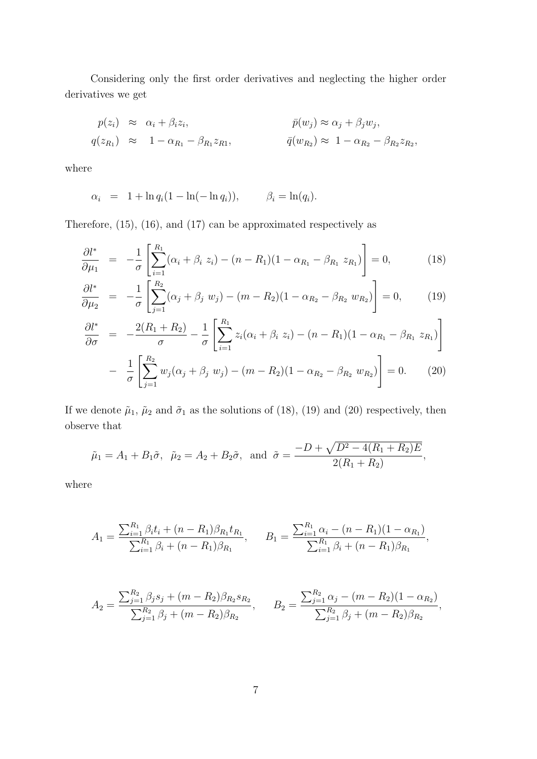Considering only the first order derivatives and neglecting the higher order derivatives we get

$$
p(z_i) \approx \alpha_i + \beta_i z_i, \qquad \qquad \bar{p}(w_j) \approx \alpha_j + \beta_j w_j, q(z_{R_1}) \approx 1 - \alpha_{R_1} - \beta_{R_1} z_{R_1}, \qquad \qquad \bar{q}(w_{R_2}) \approx 1 - \alpha_{R_2} - \beta_{R_2} z_{R_2},
$$

where

$$
\alpha_i = 1 + \ln q_i (1 - \ln(-\ln q_i)), \qquad \beta_i = \ln(q_i).
$$

Therefore, (15), (16), and (17) can be approximated respectively as

$$
\frac{\partial l^*}{\partial \mu_1} = -\frac{1}{\sigma} \left[ \sum_{i=1}^{R_1} (\alpha_i + \beta_i \ z_i) - (n - R_1)(1 - \alpha_{R_1} - \beta_{R_1} \ z_{R_1}) \right] = 0, \tag{18}
$$

$$
\frac{\partial l^*}{\partial \mu_2} = -\frac{1}{\sigma} \left[ \sum_{j=1}^{R_2} (\alpha_j + \beta_j w_j) - (m - R_2)(1 - \alpha_{R_2} - \beta_{R_2} w_{R_2}) \right] = 0, \quad (19)
$$

$$
\frac{\partial l^*}{\partial \sigma} = -\frac{2(R_1 + R_2)}{\sigma} - \frac{1}{\sigma} \left[ \sum_{i=1}^{R_1} z_i (\alpha_i + \beta_i z_i) - (n - R_1)(1 - \alpha_{R_1} - \beta_{R_1} z_{R_1}) \right]
$$

$$
- \frac{1}{\sigma} \left[ \sum_{j=1}^{R_2} w_j (\alpha_j + \beta_j w_j) - (m - R_2)(1 - \alpha_{R_2} - \beta_{R_2} w_{R_2}) \right] = 0. \tag{20}
$$

If we denote  $\tilde{\mu}_1$ ,  $\tilde{\mu}_2$  and  $\tilde{\sigma}_1$  as the solutions of (18), (19) and (20) respectively, then observe that

$$
\tilde{\mu}_1 = A_1 + B_1 \tilde{\sigma}, \quad \tilde{\mu}_2 = A_2 + B_2 \tilde{\sigma}, \text{ and } \tilde{\sigma} = \frac{-D + \sqrt{D^2 - 4(R_1 + R_2)E}}{2(R_1 + R_2)},
$$

where

$$
A_1 = \frac{\sum_{i=1}^{R_1} \beta_i t_i + (n - R_1) \beta_{R_1} t_{R_1}}{\sum_{i=1}^{R_1} \beta_i + (n - R_1) \beta_{R_1}}, \qquad B_1 = \frac{\sum_{i=1}^{R_1} \alpha_i - (n - R_1)(1 - \alpha_{R_1})}{\sum_{i=1}^{R_1} \beta_i + (n - R_1) \beta_{R_1}},
$$

$$
A_2 = \frac{\sum_{j=1}^{R_2} \beta_j s_j + (m - R_2) \beta_{R_2} s_{R_2}}{\sum_{j=1}^{R_2} \beta_j + (m - R_2) \beta_{R_2}}, \qquad B_2 = \frac{\sum_{j=1}^{R_2} \alpha_j - (m - R_2)(1 - \alpha_{R_2})}{\sum_{j=1}^{R_2} \beta_j + (m - R_2) \beta_{R_2}},
$$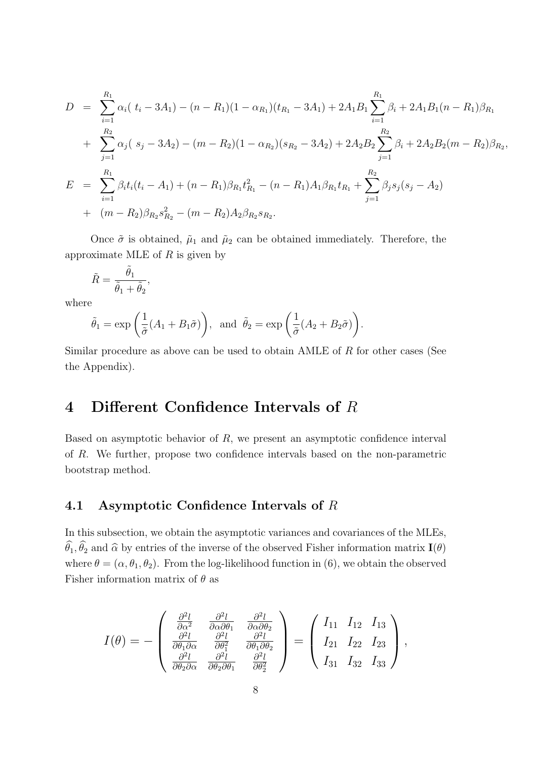$$
D = \sum_{i=1}^{R_1} \alpha_i (t_i - 3A_1) - (n - R_1)(1 - \alpha_{R_1})(t_{R_1} - 3A_1) + 2A_1B_1 \sum_{i=1}^{R_1} \beta_i + 2A_1B_1(n - R_1)\beta_{R_1} + \sum_{j=1}^{R_2} \alpha_j (s_j - 3A_2) - (m - R_2)(1 - \alpha_{R_2})(s_{R_2} - 3A_2) + 2A_2B_2 \sum_{j=1}^{R_2} \beta_i + 2A_2B_2(m - R_2)\beta_{R_2},
$$
  

$$
E = \sum_{i=1}^{R_1} \beta_i t_i(t_i - A_1) + (n - R_1)\beta_{R_1} t_{R_1}^2 - (n - R_1)A_1\beta_{R_1} t_{R_1} + \sum_{j=1}^{R_2} \beta_j s_j(s_j - A_2) + (m - R_2)\beta_{R_2} s_{R_2}^2 - (m - R_2)A_2\beta_{R_2} s_{R_2}.
$$

Once  $\tilde{\sigma}$  is obtained,  $\tilde{\mu}_1$  and  $\tilde{\mu}_2$  can be obtained immediately. Therefore, the approximate MLE of *R* is given by

$$
\tilde{R} = \frac{\tilde{\theta}_1}{\tilde{\theta}_1 + \tilde{\theta}_2},
$$

where

$$
\tilde{\theta}_1 = \exp\left(\frac{1}{\tilde{\sigma}}(A_1 + B_1\tilde{\sigma})\right)
$$
, and  $\tilde{\theta}_2 = \exp\left(\frac{1}{\tilde{\sigma}}(A_2 + B_2\tilde{\sigma})\right)$ .

Similar procedure as above can be used to obtain AMLE of *R* for other cases (See the Appendix).

# **4 Different Confidence Intervals of** *R*

Based on asymptotic behavior of *R*, we present an asymptotic confidence interval of *R*. We further, propose two confidence intervals based on the non-parametric bootstrap method.

### **4.1 Asymptotic Confidence Intervals of** *R*

In this subsection, we obtain the asymptotic variances and covariances of the MLEs,  $\widehat{\theta}_1$ ,  $\widehat{\theta}_2$  and  $\widehat{\alpha}$  by entries of the inverse of the observed Fisher information matrix **I**(*θ*) where  $\theta = (\alpha, \theta_1, \theta_2)$ . From the log-likelihood function in (6), we obtain the observed Fisher information matrix of *θ* as

$$
I(\theta) = -\begin{pmatrix} \frac{\partial^2 l}{\partial \alpha^2} & \frac{\partial^2 l}{\partial \alpha \partial \theta_1} & \frac{\partial^2 l}{\partial \alpha \partial \theta_2} \\ \frac{\partial^2 l}{\partial \theta_1 \partial \alpha} & \frac{\partial^2 l}{\partial \theta_1^2} & \frac{\partial^2 l}{\partial \theta_1 \partial \theta_2} \\ \frac{\partial^2 l}{\partial \theta_2 \partial \alpha} & \frac{\partial^2 l}{\partial \theta_2 \partial \theta_1} & \frac{\partial^2 l}{\partial \theta_2^2} \end{pmatrix} = \begin{pmatrix} I_{11} & I_{12} & I_{13} \\ I_{21} & I_{22} & I_{23} \\ I_{31} & I_{32} & I_{33} \end{pmatrix},
$$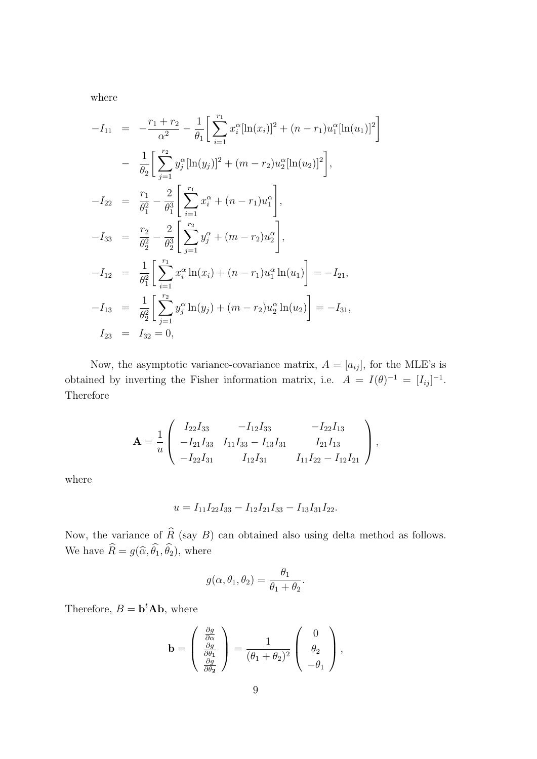where

$$
-I_{11} = -\frac{r_1 + r_2}{\alpha^2} - \frac{1}{\theta_1} \left[ \sum_{i=1}^{r_1} x_i^{\alpha} [\ln(x_i)]^2 + (n - r_1) u_1^{\alpha} [\ln(u_1)]^2 \right]
$$
  
\n
$$
- \frac{1}{\theta_2} \left[ \sum_{j=1}^{r_2} y_j^{\alpha} [\ln(y_j)]^2 + (m - r_2) u_2^{\alpha} [\ln(u_2)]^2 \right],
$$
  
\n
$$
-I_{22} = \frac{r_1}{\theta_1^2} - \frac{2}{\theta_1^3} \left[ \sum_{i=1}^{r_1} x_i^{\alpha} + (n - r_1) u_1^{\alpha} \right],
$$
  
\n
$$
-I_{33} = \frac{r_2}{\theta_2^2} - \frac{2}{\theta_2^3} \left[ \sum_{j=1}^{r_2} y_j^{\alpha} + (m - r_2) u_2^{\alpha} \right],
$$
  
\n
$$
-I_{12} = \frac{1}{\theta_1^2} \left[ \sum_{i=1}^{r_1} x_i^{\alpha} \ln(x_i) + (n - r_1) u_1^{\alpha} \ln(u_1) \right] = -I_{21},
$$
  
\n
$$
-I_{13} = \frac{1}{\theta_2^2} \left[ \sum_{j=1}^{r_2} y_j^{\alpha} \ln(y_j) + (m - r_2) u_2^{\alpha} \ln(u_2) \right] = -I_{31},
$$
  
\n
$$
I_{23} = I_{32} = 0,
$$

Now, the asymptotic variance-covariance matrix,  $A = [a_{ij}]$ , for the MLE's is obtained by inverting the Fisher information matrix, i.e.  $A = I(\theta)^{-1} = [I_{ij}]^{-1}$ . Therefore

$$
\mathbf{A} = \frac{1}{u} \begin{pmatrix} I_{22}I_{33} & -I_{12}I_{33} & -I_{22}I_{13} \\ -I_{21}I_{33} & I_{11}I_{33} - I_{13}I_{31} & I_{21}I_{13} \\ -I_{22}I_{31} & I_{12}I_{31} & I_{11}I_{22} - I_{12}I_{21} \end{pmatrix},
$$

where

$$
u = I_{11}I_{22}I_{33} - I_{12}I_{21}I_{33} - I_{13}I_{31}I_{22}.
$$

Now, the variance of *R* (say *B*) can obtained also using delta method as follows. We have  $R = g(\hat{\alpha}, \theta_1, \theta_2)$ , where

$$
g(\alpha, \theta_1, \theta_2) = \frac{\theta_1}{\theta_1 + \theta_2}.
$$

Therefore,  $B = \mathbf{b}^t \mathbf{A} \mathbf{b}$ , where

$$
\mathbf{b} = \begin{pmatrix} \frac{\partial g}{\partial \alpha} \\ \frac{\partial g}{\partial \theta_1} \\ \frac{\partial g}{\partial \theta_2} \end{pmatrix} = \frac{1}{(\theta_1 + \theta_2)^2} \begin{pmatrix} 0 \\ \theta_2 \\ -\theta_1 \end{pmatrix},
$$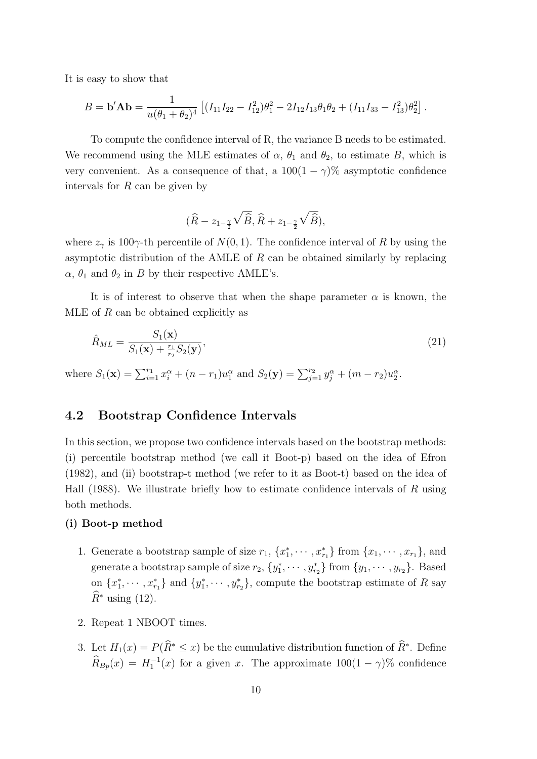It is easy to show that

$$
B = \mathbf{b}' \mathbf{A} \mathbf{b} = \frac{1}{u(\theta_1 + \theta_2)^4} \left[ (I_{11}I_{22} - I_{12}^2)\theta_1^2 - 2I_{12}I_{13}\theta_1\theta_2 + (I_{11}I_{33} - I_{13}^2)\theta_2^2 \right].
$$

To compute the confidence interval of R, the variance B needs to be estimated. We recommend using the MLE estimates of  $\alpha$ ,  $\theta_1$  and  $\theta_2$ , to estimate *B*, which is very convenient. As a consequence of that, a  $100(1 - \gamma)\%$  asymptotic confidence intervals for *R* can be given by

$$
\big(\widehat R - z_{1-\frac{\gamma}{2}}\sqrt{\widehat B}, \widehat R + z_{1-\frac{\gamma}{2}}\sqrt{\widehat B}\big),
$$

where  $z_{\gamma}$  is 100 $\gamma$ -th percentile of  $N(0, 1)$ . The confidence interval of R by using the asymptotic distribution of the AMLE of *R* can be obtained similarly by replacing  $\alpha$ ,  $\theta_1$  and  $\theta_2$  in *B* by their respective AMLE's.

It is of interest to observe that when the shape parameter  $\alpha$  is known, the MLE of *R* can be obtained explicitly as

$$
\hat{R}_{ML} = \frac{S_1(\mathbf{x})}{S_1(\mathbf{x}) + \frac{r_1}{r_2} S_2(\mathbf{y})},\tag{21}
$$

where  $S_1(\mathbf{x}) = \sum_{i=1}^{r_1} x_i^{\alpha} + (n - r_1)u_1^{\alpha}$  and  $S_2(\mathbf{y}) = \sum_{j=1}^{r_2} y_j^{\alpha} + (m - r_2)u_2^{\alpha}$ .

### **4.2 Bootstrap Confidence Intervals**

In this section, we propose two confidence intervals based on the bootstrap methods: (i) percentile bootstrap method (we call it Boot-p) based on the idea of Efron (1982), and (ii) bootstrap-t method (we refer to it as Boot-t) based on the idea of Hall (1988). We illustrate briefly how to estimate confidence intervals of *R* using both methods.

#### **(i) Boot-p method**

- 1. Generate a bootstrap sample of size  $r_1$ ,  $\{x_1^*, \dots, x_{r_1}^*\}$  from  $\{x_1, \dots, x_{r_1}\}$ , and generate a bootstrap sample of size  $r_2$ ,  $\{y_1^*, \dots, y_{r_2}^*\}$  from  $\{y_1, \dots, y_{r_2}\}$ . Based on  $\{x_1^*, \dots, x_{r_1}^*\}$  and  $\{y_1^*, \dots, y_{r_2}^*\}$ , compute the bootstrap estimate of R say  $\widehat{R}^*$  using (12).
- 2. Repeat 1 NBOOT times.
- 3. Let  $H_1(x) = P(R^* \leq x)$  be the cumulative distribution function of  $R^*$ . Define  $\widehat{R}_{Bp}(x) = H_1^{-1}(x)$  for a given *x*. The approximate  $100(1 - \gamma)\%$  confidence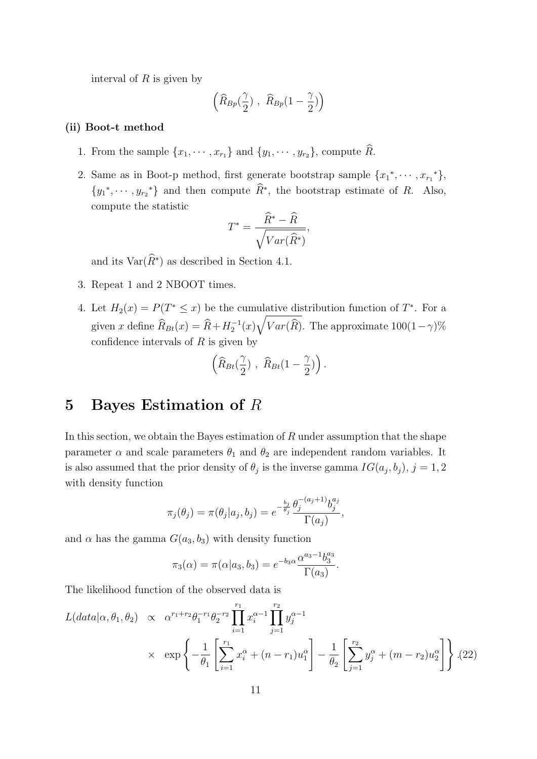interval of *R* is given by

$$
\left(\widehat{R}_{Bp}(\frac{\gamma}{2})\ ,\ \widehat{R}_{Bp}(1-\frac{\gamma}{2})\right)
$$

#### **(ii) Boot-t method**

- 1. From the sample  $\{x_1, \dots, x_{r_1}\}$  and  $\{y_1, \dots, y_{r_2}\}$ , compute  $\widehat{R}$ .
- 2. Same as in Boot-p method, first generate bootstrap sample  $\{x_1^*, \dots, x_{r_1}^*\}$ ,  $\{y_1^*, \dots, y_{r_2}^*\}$  and then compute  $R^*$ , the bootstrap estimate of *R*. Also, compute the statistic

$$
T^* = \frac{\widehat{R}^* - \widehat{R}}{\sqrt{Var(\widehat{R}^*)}},
$$

and its  $Var(R^*)$  as described in Section 4.1.

- 3. Repeat 1 and 2 NBOOT times.
- 4. Let  $H_2(x) = P(T^* \leq x)$  be the cumulative distribution function of  $T^*$ . For a given *x* define  $\widehat{R}_{Bt}(x) = \widehat{R} + H_2^{-1}(x)\sqrt{Var(\widehat{R})}$ . The approximate 100(1*−γ*)% confidence intervals of *R* is given by

$$
\left(\widehat{R}_{Bt}(\frac{\gamma}{2})\ ,\ \widehat{R}_{Bt}(1-\frac{\gamma}{2})\right).
$$

### **5 Bayes Estimation of** *R*

In this section, we obtain the Bayes estimation of *R* under assumption that the shape parameter  $\alpha$  and scale parameters  $\theta_1$  and  $\theta_2$  are independent random variables. It is also assumed that the prior density of  $\theta_j$  is the inverse gamma  $IG(a_j, b_j)$ ,  $j = 1, 2$ with density function

$$
\pi_j(\theta_j) = \pi(\theta_j|a_j, b_j) = e^{-\frac{b_j}{\theta_j}} \frac{\theta_j^{-(a_j+1)} b_j^{a_j}}{\Gamma(a_j)},
$$

and  $\alpha$  has the gamma  $G(a_3, b_3)$  with density function

$$
\pi_3(\alpha) = \pi(\alpha|a_3, b_3) = e^{-b_3 \alpha} \frac{\alpha^{a_3 - 1} b_3^{a_3}}{\Gamma(a_3)}.
$$

The likelihood function of the observed data is

$$
L(data|\alpha, \theta_1, \theta_2) \propto \alpha^{r_1 + r_2} \theta_1^{-r_1} \theta_2^{-r_2} \prod_{i=1}^{r_1} x_i^{\alpha - 1} \prod_{j=1}^{r_2} y_j^{\alpha - 1}
$$
  
 
$$
\times \exp\left\{-\frac{1}{\theta_1} \left[ \sum_{i=1}^{r_1} x_i^{\alpha} + (n - r_1)u_1^{\alpha} \right] - \frac{1}{\theta_2} \left[ \sum_{j=1}^{r_2} y_j^{\alpha} + (m - r_2)u_2^{\alpha} \right] \right\}.
$$
 (22)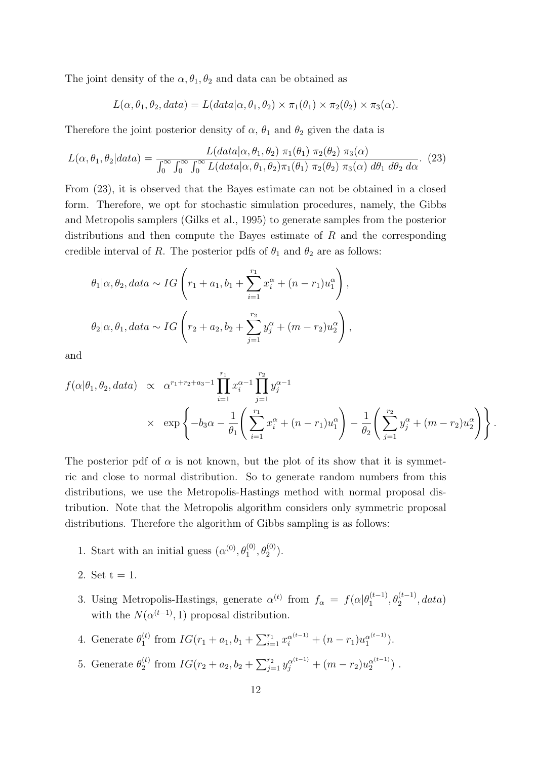The joint density of the  $\alpha$ ,  $\theta_1$ ,  $\theta_2$  and data can be obtained as

$$
L(\alpha, \theta_1, \theta_2, data) = L(data | \alpha, \theta_1, \theta_2) \times \pi_1(\theta_1) \times \pi_2(\theta_2) \times \pi_3(\alpha).
$$

Therefore the joint posterior density of  $\alpha$ ,  $\theta_1$  and  $\theta_2$  given the data is

$$
L(\alpha, \theta_1, \theta_2|data) = \frac{L(data|\alpha, \theta_1, \theta_2) \pi_1(\theta_1) \pi_2(\theta_2) \pi_3(\alpha)}{\int_0^\infty \int_0^\infty \int_0^\infty L(data|\alpha, \theta_1, \theta_2) \pi_1(\theta_1) \pi_2(\theta_2) \pi_3(\alpha) d\theta_1 d\theta_2 d\alpha}.
$$
 (23)

From (23), it is observed that the Bayes estimate can not be obtained in a closed form. Therefore, we opt for stochastic simulation procedures, namely, the Gibbs and Metropolis samplers (Gilks et al., 1995) to generate samples from the posterior distributions and then compute the Bayes estimate of *R* and the corresponding credible interval of *R*. The posterior pdfs of  $\theta_1$  and  $\theta_2$  are as follows:

$$
\theta_1 | \alpha, \theta_2, data \sim IG \left( r_1 + a_1, b_1 + \sum_{i=1}^{r_1} x_i^{\alpha} + (n - r_1) u_1^{\alpha} \right),
$$
  
\n $\theta_2 | \alpha, \theta_1, data \sim IG \left( r_2 + a_2, b_2 + \sum_{j=1}^{r_2} y_j^{\alpha} + (m - r_2) u_2^{\alpha} \right),$ 

and

$$
f(\alpha|\theta_1, \theta_2, data) \propto \alpha^{r_1 + r_2 + a_3 - 1} \prod_{i=1}^{r_1} x_i^{\alpha - 1} \prod_{j=1}^{r_2} y_j^{\alpha - 1}
$$
  
 
$$
\times \exp \left\{ -b_3 \alpha - \frac{1}{\theta_1} \left( \sum_{i=1}^{r_1} x_i^{\alpha} + (n - r_1) u_1^{\alpha} \right) - \frac{1}{\theta_2} \left( \sum_{j=1}^{r_2} y_j^{\alpha} + (m - r_2) u_2^{\alpha} \right) \right\}.
$$

The posterior pdf of  $\alpha$  is not known, but the plot of its show that it is symmetric and close to normal distribution. So to generate random numbers from this distributions, we use the Metropolis-Hastings method with normal proposal distribution. Note that the Metropolis algorithm considers only symmetric proposal distributions. Therefore the algorithm of Gibbs sampling is as follows:

- 1. Start with an initial guess  $(\alpha^{(0)}, \theta_1^{(0)}, \theta_2^{(0)})$ .
- 2. Set  $t = 1$ .
- 3. Using Metropolis-Hastings, generate  $\alpha^{(t)}$  from  $f_{\alpha} = f(\alpha|\theta_1^{(t-1)}, \theta_2^{(t-1)}, data)$ with the  $N(\alpha^{(t-1)}, 1)$  proposal distribution.
- 4. Generate  $\theta_1^{(t)}$  $\sum_{i=1}^{n} x_i^{\alpha^{(t-1)}} + (n - r_1)u_1^{\alpha^{(t-1)}}$  $\binom{\alpha^{(t-1)}}{1}$ .
- 5. Generate  $\theta_2^{(t)}$  $\sum_{j=1}^{(t)} y_j^{\alpha^{(t-1)}} + (m - r_2)u_2^{\alpha^{(t-1)}}$  $\binom{\alpha^{(t-1)}}{2}$ .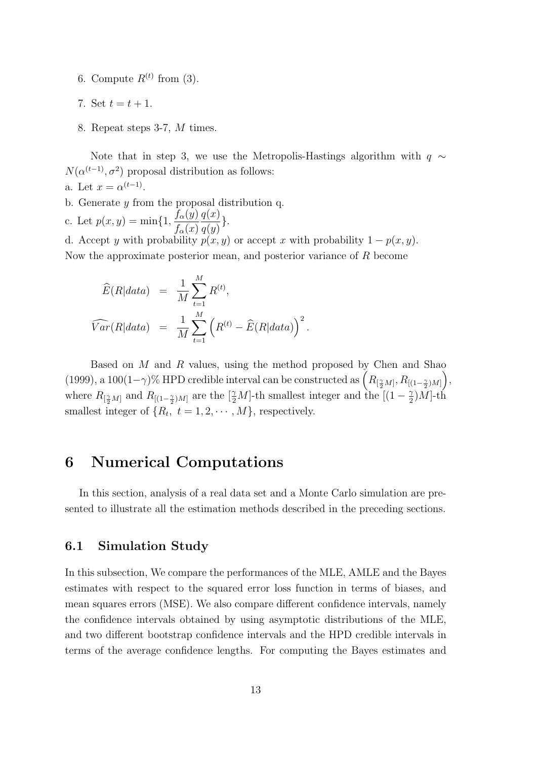- 6. Compute  $R^{(t)}$  from (3).
- 7. Set  $t = t + 1$ .
- 8. Repeat steps 3-7, *M* times.

Note that in step 3, we use the Metropolis-Hastings algorithm with *q ∼*  $N(\alpha^{(t-1)}, \sigma^2)$  proposal distribution as follows: a. Let  $x = \alpha^{(t-1)}$ .

- b. Generate *y* from the proposal distribution q.
- c. Let  $p(x, y) = \min\{1, \frac{f_\alpha(y)}{f_\alpha(x)}\}$ *fα*(*x*) *q*(*x*)  $\frac{q(x)}{q(y)}$ .

d. Accept *y* with probability  $p(x, y)$  or accept *x* with probability  $1 - p(x, y)$ . Now the approximate posterior mean, and posterior variance of *R* become

$$
\widehat{E}(R|data) = \frac{1}{M} \sum_{t=1}^{M} R^{(t)},
$$
  

$$
\widehat{Var}(R|data) = \frac{1}{M} \sum_{t=1}^{M} (R^{(t)} - \widehat{E}(R|data))^{2}.
$$

Based on *M* and *R* values, using the method proposed by Chen and Shao (1999), a 100(1- $\gamma$ )% HPD credible interval can be constructed as  $(R_{\left[\frac{\gamma}{2}M\right]}, R_{\left[(1-\frac{\gamma}{2})M\right]})$ , where  $R_{\left[\frac{\gamma}{2}M\right]}$  and  $R_{\left[\left(1-\frac{\gamma}{2}\right)M\right]}$  are the  $\left[\frac{\gamma}{2}M\right]$ -th smallest integer and the  $\left[(1-\frac{\gamma}{2})^2\right]$  $\frac{\gamma}{2})$ *M*]-th smallest integer of  $\{R_t, t = 1, 2, \cdots, M\}$ , respectively.

## **6 Numerical Computations**

In this section, analysis of a real data set and a Monte Carlo simulation are presented to illustrate all the estimation methods described in the preceding sections.

### **6.1 Simulation Study**

In this subsection, We compare the performances of the MLE, AMLE and the Bayes estimates with respect to the squared error loss function in terms of biases, and mean squares errors (MSE). We also compare different confidence intervals, namely the confidence intervals obtained by using asymptotic distributions of the MLE, and two different bootstrap confidence intervals and the HPD credible intervals in terms of the average confidence lengths. For computing the Bayes estimates and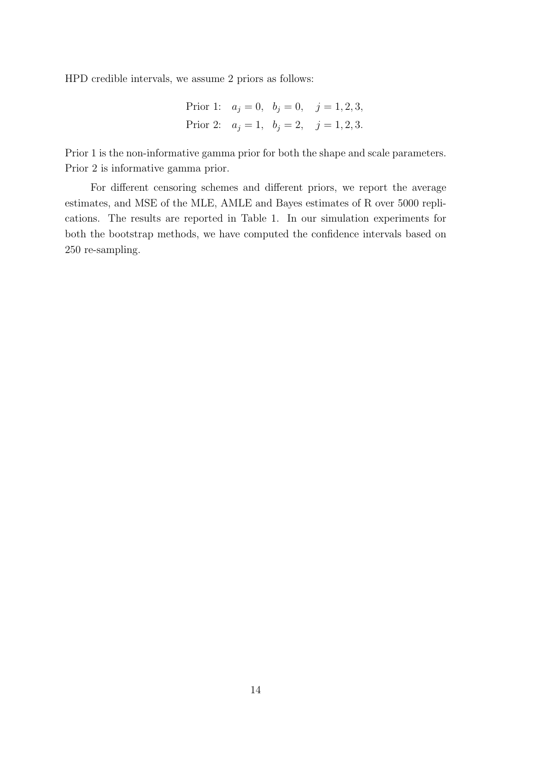HPD credible intervals, we assume 2 priors as follows:

Prior 1: 
$$
a_j = 0
$$
,  $b_j = 0$ ,  $j = 1, 2, 3$ ,  
Prior 2:  $a_j = 1$ ,  $b_j = 2$ ,  $j = 1, 2, 3$ .

Prior 1 is the non-informative gamma prior for both the shape and scale parameters. Prior 2 is informative gamma prior.

For different censoring schemes and different priors, we report the average estimates, and MSE of the MLE, AMLE and Bayes estimates of R over 5000 replications. The results are reported in Table 1. In our simulation experiments for both the bootstrap methods, we have computed the confidence intervals based on 250 re-sampling.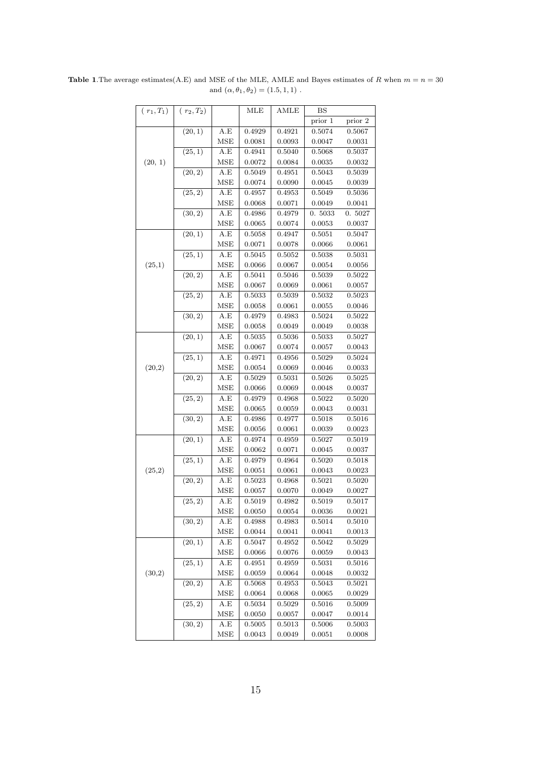| $(r_1, T_1)$ | $(r_2,T_2)$ |            | MLE    | AMLE         | BS          |              |
|--------------|-------------|------------|--------|--------------|-------------|--------------|
|              |             |            |        |              | prior 1     | prior 2      |
|              | (20, 1)     | A.E        | 0.4929 | 0.4921       | 0.5074      | 0.5067       |
|              |             | <b>MSE</b> | 0.0081 | 0.0093       | 0.0047      | 0.0031       |
|              | (25, 1)     | A.E        | 0.4941 | 0.5040       | 0.5068      | 0.5037       |
| (20, 1)      |             | <b>MSE</b> | 0.0072 | 0.0084       | 0.0035      | 0.0032       |
|              | (20, 2)     | A.E        | 0.5049 | $_{0.4951}$  | $_{0.5043}$ | 0.5039       |
|              |             | <b>MSE</b> | 0.0074 | 0.0090       | 0.0045      | 0.0039       |
|              | (25, 2)     | A.E        | 0.4957 | 0.4953       | 0.5049      | 0.5036       |
|              |             | <b>MSE</b> | 0.0068 | 0.0071       | 0.0049      | 0.0041       |
|              | (30, 2)     | A.E        | 0.4986 | 0.4979       | 0.5033      | 0.5027       |
|              |             | <b>MSE</b> | 0.0065 | 0.0074       | 0.0053      | 0.0037       |
|              | (20, 1)     | A.E        | 0.5058 | 0.4947       | 0.5051      | 0.5047       |
|              |             | <b>MSE</b> | 0.0071 | 0.0078       | 0.0066      | 0.0061       |
|              | (25, 1)     | A.E        | 0.5045 | 0.5052       | 0.5038      | 0.5031       |
| (25,1)       |             | <b>MSE</b> | 0.0066 | 0.0067       | 0.0054      | 0.0056       |
|              | (20, 2)     | A.E        | 0.5041 | 0.5046       | 0.5039      | 0.5022       |
|              |             | <b>MSE</b> | 0.0067 | 0.0069       | 0.0061      | 0.0057       |
|              | (25, 2)     | A.E        | 0.5033 | 0.5039       | 0.5032      | 0.5023       |
|              |             | MSE        | 0.0058 | 0.0061       | 0.0055      | 0.0046       |
|              | (30, 2)     | A.E        | 0.4979 | 0.4983       | 0.5024      | 0.5022       |
|              |             | MSE        | 0.0058 | 0.0049       | 0.0049      | 0.0038       |
|              | (20, 1)     | A.E        | 0.5035 | 0.5036       | 0.5033      | 0.5027       |
|              |             | <b>MSE</b> | 0.0067 | $\,0.0074\,$ | 0.0057      | 0.0043       |
|              | (25,1)      | A.E        | 0.4971 | 0.4956       | 0.5029      | 0.5024       |
| (20,2)       |             | <b>MSE</b> | 0.0054 | 0.0069       | 0.0046      | 0.0033       |
|              | (20, 2)     | A.E        | 0.5029 | 0.5031       | ${0.5026}$  | 0.5025       |
|              |             | <b>MSE</b> | 0.0066 | 0.0069       | 0.0048      | 0.0037       |
|              | (25, 2)     | A.E        | 0.4979 | 0.4968       | 0.5022      | 0.5020       |
|              |             | <b>MSE</b> | 0.0065 | 0.0059       | 0.0043      | 0.0031       |
|              | (30, 2)     | A.E        | 0.4986 | 0.4977       | 0.5018      | 0.5016       |
|              |             | <b>MSE</b> | 0.0056 | 0.0061       | 0.0039      | 0.0023       |
|              | (20, 1)     | A.E        | 0.4974 | 0.4959       | 0.5027      | 0.5019       |
|              |             | <b>MSE</b> | 0.0062 | 0.0071       | 0.0045      | 0.0037       |
|              | (25, 1)     | A.E        | 0.4979 | 0.4964       | 0.5020      | 0.5018       |
| (25,2)       |             | <b>MSE</b> | 0.0051 | 0.0061       | 0.0043      | 0.0023       |
|              | (20, 2)     | A.E        | 0.5023 | 0.4968       | 0.5021      | 0.5020       |
|              |             | MSE        | 0.0057 | 0.0070       | 0.0049      | 0.0027       |
|              | (25, 2)     | A.E        | 0.5019 | 0.4982       | $_{0.5019}$ | 0.5017       |
|              |             | MSE        | 0.0050 | 0.0054       | 0.0036      | 0.0021       |
|              | (30, 2)     | A.E        | 0.4988 | 0.4983       | 0.5014      | 0.5010       |
|              |             | MSE        | 0.0044 | 0.0041       | 0.0041      | 0.0013       |
|              | (20, 1)     | A.E        | 0.5047 | 0.4952       | 0.5042      | 0.5029       |
|              |             | <b>MSE</b> | 0.0066 | 0.0076       | 0.0059      | 0.0043       |
|              | (25, 1)     | A.E        | 0.4951 | 0.4959       | 0.5031      | 0.5016       |
| (30,2)       |             | MSE        | 0.0059 | 0.0064       | 0.0048      | 0.0032       |
|              | (20, 2)     | A.E        | 0.5068 | 0.4953       | 0.5043      | 0.5021       |
|              |             | MSE        | 0.0064 | 0.0068       | 0.0065      | 0.0029       |
|              | (25, 2)     | A.E        | 0.5034 | 0.5029       | 0.5016      | 0.5009       |
|              |             | <b>MSE</b> | 0.0050 | $_{0.0057}$  | 0.0047      | 0.0014       |
|              | (30, 2)     | A.E        | 0.5005 | $\,0.5013\,$ | 0.5006      | $\,0.5003\,$ |
|              |             | MSE        | 0.0043 | 0.0049       | 0.0051      | 0.0008       |

**Table 1**. The average estimates(A.E) and MSE of the MLE, AMLE and Bayes estimates of *R* when  $m = n = 30$ and  $(\alpha, \theta_1, \theta_2) = (1.5, 1, 1)$ .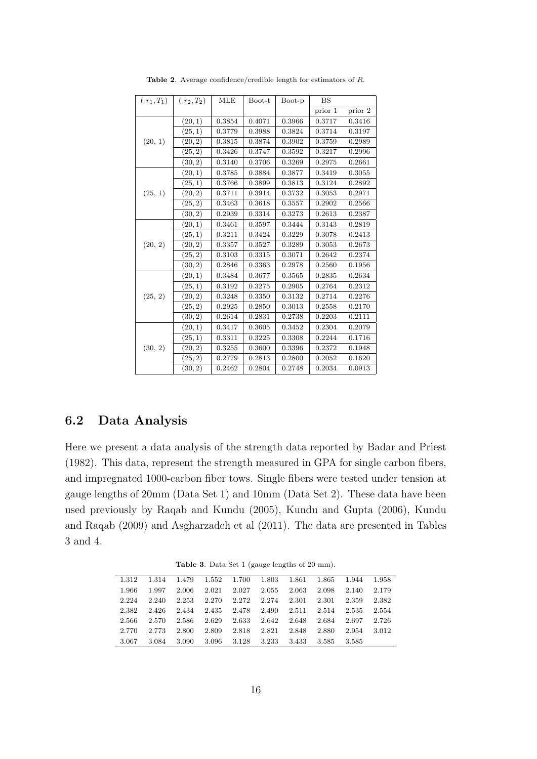| $(r_1,T_1)$ | $(r_2,T_2)$ | MLE    | Boot-t | Boot-p | <b>BS</b> |         |
|-------------|-------------|--------|--------|--------|-----------|---------|
|             |             |        |        |        | prior 1   | prior 2 |
|             | (20, 1)     | 0.3854 | 0.4071 | 0.3966 | 0.3717    | 0.3416  |
|             | (25, 1)     | 0.3779 | 0.3988 | 0.3824 | 0.3714    | 0.3197  |
| (20, 1)     | (20, 2)     | 0.3815 | 0.3874 | 0.3902 | 0.3759    | 0.2989  |
|             | (25, 2)     | 0.3426 | 0.3747 | 0.3592 | 0.3217    | 0.2996  |
|             | (30, 2)     | 0.3140 | 0.3706 | 0.3269 | 0.2975    | 0.2661  |
|             | (20, 1)     | 0.3785 | 0.3884 | 0.3877 | 0.3419    | 0.3055  |
|             | (25, 1)     | 0.3766 | 0.3899 | 0.3813 | 0.3124    | 0.2892  |
| (25, 1)     | (20, 2)     | 0.3711 | 0.3914 | 0.3732 | 0.3053    | 0.2971  |
|             | (25, 2)     | 0.3463 | 0.3618 | 0.3557 | 0.2902    | 0.2566  |
|             | (30, 2)     | 0.2939 | 0.3314 | 0.3273 | 0.2613    | 0.2387  |
| (20, 2)     | (20, 1)     | 0.3461 | 0.3597 | 0.3444 | 0.3143    | 0.2819  |
|             | (25, 1)     | 0.3211 | 0.3424 | 0.3229 | 0.3078    | 0.2413  |
|             | (20, 2)     | 0.3357 | 0.3527 | 0.3289 | 0.3053    | 0.2673  |
|             | (25, 2)     | 0.3103 | 0.3315 | 0.3071 | 0.2642    | 0.2374  |
|             | (30, 2)     | 0.2846 | 0.3363 | 0.2978 | 0.2560    | 0.1956  |
|             | (20, 1)     | 0.3484 | 0.3677 | 0.3565 | 0.2835    | 0.2634  |
|             | (25, 1)     | 0.3192 | 0.3275 | 0.2905 | 0.2764    | 0.2312  |
| (25, 2)     | (20, 2)     | 0.3248 | 0.3350 | 0.3132 | 0.2714    | 0.2276  |
|             | (25, 2)     | 0.2925 | 0.2850 | 0.3013 | 0.2558    | 0.2170  |
|             | (30, 2)     | 0.2614 | 0.2831 | 0.2738 | 0.2203    | 0.2111  |
|             | (20, 1)     | 0.3417 | 0.3605 | 0.3452 | 0.2304    | 0.2079  |
|             | (25,1)      | 0.3311 | 0.3225 | 0.3308 | 0.2244    | 0.1716  |
| (30, 2)     | (20, 2)     | 0.3255 | 0.3600 | 0.3396 | 0.2372    | 0.1948  |
|             | (25, 2)     | 0.2779 | 0.2813 | 0.2800 | 0.2052    | 0.1620  |
|             | (30, 2)     | 0.2462 | 0.2804 | 0.2748 | 0.2034    | 0.0913  |

**Table 2**. Average confidence/credible length for estimators of *R*.

### **6.2 Data Analysis**

Here we present a data analysis of the strength data reported by Badar and Priest (1982). This data, represent the strength measured in GPA for single carbon fibers, and impregnated 1000-carbon fiber tows. Single fibers were tested under tension at gauge lengths of 20mm (Data Set 1) and 10mm (Data Set 2). These data have been used previously by Raqab and Kundu (2005), Kundu and Gupta (2006), Kundu and Raqab (2009) and Asgharzadeh et al (2011). The data are presented in Tables 3 and 4.

**Table 3**. Data Set 1 (gauge lengths of 20 mm).

| 1.312 | 1.314 | 1.479 | 1.552 | 1.700 | 1.803 | 1.861 | 1.865 | 1.944 | 1.958 |
|-------|-------|-------|-------|-------|-------|-------|-------|-------|-------|
| 1.966 | 1.997 | 2.006 | 2.021 | 2.027 | 2.055 | 2.063 | 2.098 | 2.140 | 2.179 |
| 2.224 | 2.240 | 2.253 | 2.270 | 2.272 | 2.274 | 2.301 | 2.301 | 2.359 | 2.382 |
| 2.382 | 2.426 | 2.434 | 2.435 | 2.478 | 2.490 | 2.511 | 2.514 | 2.535 | 2.554 |
| 2.566 | 2.570 | 2.586 | 2.629 | 2.633 | 2.642 | 2.648 | 2.684 | 2.697 | 2.726 |
| 2.770 | 2.773 | 2.800 | 2.809 | 2.818 | 2.821 | 2.848 | 2.880 | 2.954 | 3.012 |
| 3.067 | 3.084 | 3.090 | 3.096 | 3.128 | 3.233 | 3.433 | 3.585 | 3.585 |       |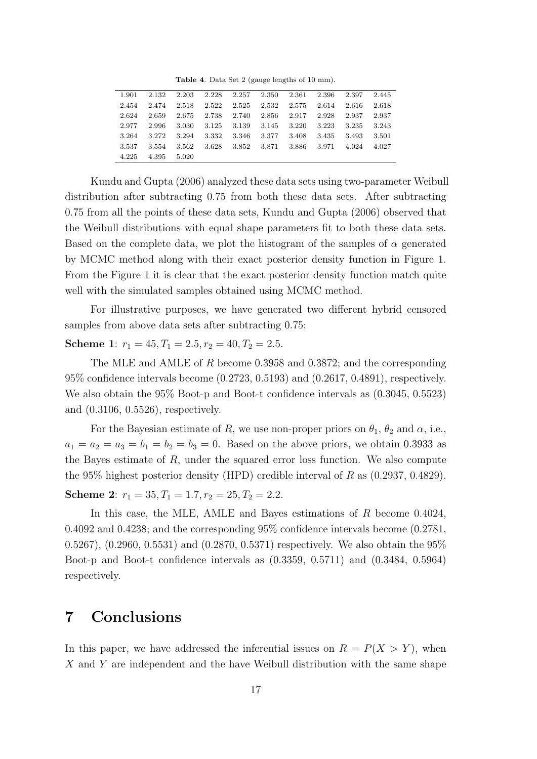**Table 4**. Data Set 2 (gauge lengths of 10 mm).

| 1.901 | 2.132 | 2.203 | 2.228 | 2.257 | 2.350 | 2.361 | 2.396 | 2.397 | 2.445 |
|-------|-------|-------|-------|-------|-------|-------|-------|-------|-------|
| 2.454 | 2.474 | 2.518 | 2.522 | 2.525 | 2.532 | 2.575 | 2.614 | 2.616 | 2.618 |
| 2.624 | 2.659 | 2.675 | 2.738 | 2.740 | 2.856 | 2.917 | 2.928 | 2.937 | 2.937 |
| 2.977 | 2.996 | 3.030 | 3.125 | 3.139 | 3.145 | 3.220 | 3.223 | 3.235 | 3.243 |
| 3.264 | 3.272 | 3.294 | 3.332 | 3.346 | 3.377 | 3.408 | 3.435 | 3.493 | 3.501 |
| 3.537 | 3.554 | 3.562 | 3.628 | 3.852 | 3.871 | 3.886 | 3.971 | 4.024 | 4.027 |
| 4.225 | 4.395 | 5.020 |       |       |       |       |       |       |       |

Kundu and Gupta (2006) analyzed these data sets using two-parameter Weibull distribution after subtracting 0.75 from both these data sets. After subtracting 0.75 from all the points of these data sets, Kundu and Gupta (2006) observed that the Weibull distributions with equal shape parameters fit to both these data sets. Based on the complete data, we plot the histogram of the samples of  $\alpha$  generated by MCMC method along with their exact posterior density function in Figure 1. From the Figure 1 it is clear that the exact posterior density function match quite well with the simulated samples obtained using MCMC method.

For illustrative purposes, we have generated two different hybrid censored samples from above data sets after subtracting 0.75:

**Scheme 1**:  $r_1 = 45, T_1 = 2.5, r_2 = 40, T_2 = 2.5.$ 

The MLE and AMLE of *R* become 0.3958 and 0.3872; and the corresponding 95% confidence intervals become (0.2723, 0.5193) and (0.2617, 0.4891), respectively. We also obtain the 95% Boot-p and Boot-t confidence intervals as (0.3045, 0.5523) and (0.3106, 0.5526), respectively.

For the Bayesian estimate of *R*, we use non-proper priors on  $\theta_1$ ,  $\theta_2$  and  $\alpha$ , i.e.,  $a_1 = a_2 = a_3 = b_1 = b_2 = b_3 = 0$ . Based on the above priors, we obtain 0.3933 as the Bayes estimate of *R*, under the squared error loss function. We also compute the 95% highest posterior density (HPD) credible interval of *R* as (0.2937, 0.4829). **Scheme 2**:  $r_1 = 35, T_1 = 1.7, r_2 = 25, T_2 = 2.2.$ 

In this case, the MLE, AMLE and Bayes estimations of *R* become 0.4024, 0.4092 and 0.4238; and the corresponding 95% confidence intervals become (0.2781, 0.5267), (0.2960, 0.5531) and (0.2870, 0.5371) respectively. We also obtain the 95% Boot-p and Boot-t confidence intervals as (0.3359, 0.5711) and (0.3484, 0.5964) respectively.

### **7 Conclusions**

In this paper, we have addressed the inferential issues on  $R = P(X > Y)$ , when *X* and *Y* are independent and the have Weibull distribution with the same shape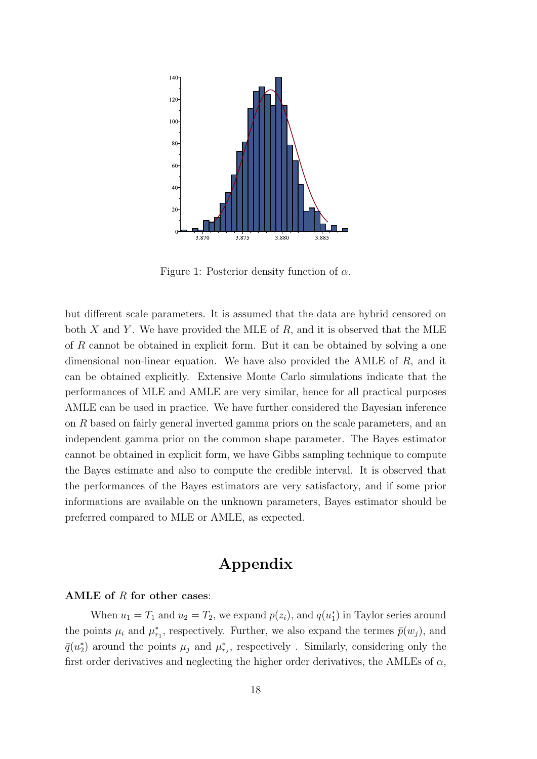

Figure 1: Posterior density function of *α*.

but different scale parameters. It is assumed that the data are hybrid censored on both *X* and *Y* . We have provided the MLE of *R*, and it is observed that the MLE of *R* cannot be obtained in explicit form. But it can be obtained by solving a one dimensional non-linear equation. We have also provided the AMLE of *R*, and it can be obtained explicitly. Extensive Monte Carlo simulations indicate that the performances of MLE and AMLE are very similar, hence for all practical purposes AMLE can be used in practice. We have further considered the Bayesian inference on *R* based on fairly general inverted gamma priors on the scale parameters, and an independent gamma prior on the common shape parameter. The Bayes estimator cannot be obtained in explicit form, we have Gibbs sampling technique to compute the Bayes estimate and also to compute the credible interval. It is observed that the performances of the Bayes estimators are very satisfactory, and if some prior informations are available on the unknown parameters, Bayes estimator should be preferred compared to MLE or AMLE, as expected.

# **Appendix**

#### **AMLE of** *R* **for other cases**:

When  $u_1 = T_1$  and  $u_2 = T_2$ , we expand  $p(z_i)$ , and  $q(u_1^*)$  in Taylor series around the points  $\mu_i$  and  $\mu_{r_1}^*$ , respectively. Further, we also expand the termes  $\bar{p}(w_j)$ , and  $\bar{q}(u_2^*)$  around the points  $\mu_j$  and  $\mu_{r_2}^*$ , respectively . Similarly, considering only the first order derivatives and neglecting the higher order derivatives, the AMLEs of  $\alpha$ ,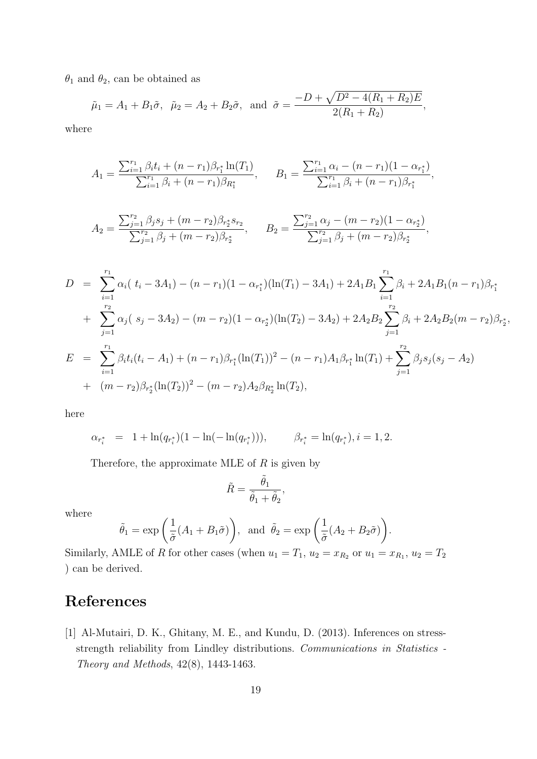$\theta_1$  and  $\theta_2$ , can be obtained as

$$
\tilde{\mu}_1 = A_1 + B_1 \tilde{\sigma}, \quad \tilde{\mu}_2 = A_2 + B_2 \tilde{\sigma}, \text{ and } \tilde{\sigma} = \frac{-D + \sqrt{D^2 - 4(R_1 + R_2)E}}{2(R_1 + R_2)},
$$

where

$$
A_1 = \frac{\sum_{i=1}^{r_1} \beta_i t_i + (n - r_1)\beta_{r_1^*} \ln(T_1)}{\sum_{i=1}^{r_1} \beta_i + (n - r_1)\beta_{R_1^*}}, \qquad B_1 = \frac{\sum_{i=1}^{r_1} \alpha_i - (n - r_1)(1 - \alpha_{r_1^*})}{\sum_{i=1}^{r_1} \beta_i + (n - r_1)\beta_{r_1^*}},
$$

$$
A_2 = \frac{\sum_{j=1}^{r_2} \beta_j s_j + (m - r_2)\beta_{r_2^*} s_{r_2}}{\sum_{j=1}^{r_2} \beta_j + (m - r_2)\beta_{r_2^*}}, \qquad B_2 = \frac{\sum_{j=1}^{r_2} \alpha_j - (m - r_2)(1 - \alpha_{r_2^*})}{\sum_{j=1}^{r_2} \beta_j + (m - r_2)\beta_{r_2^*}},
$$

$$
D = \sum_{i=1}^{r_1} \alpha_i (t_i - 3A_1) - (n - r_1)(1 - \alpha_{r_1^*})(\ln(T_1) - 3A_1) + 2A_1B_1 \sum_{i=1}^{r_1} \beta_i + 2A_1B_1(n - r_1)\beta_{r_1^*}
$$
  
+ 
$$
\sum_{j=1}^{r_2} \alpha_j (s_j - 3A_2) - (m - r_2)(1 - \alpha_{r_2^*})(\ln(T_2) - 3A_2) + 2A_2B_2 \sum_{j=1}^{r_2} \beta_i + 2A_2B_2(m - r_2)\beta_{r_2^*},
$$
  

$$
E = \sum_{i=1}^{r_1} \beta_i t_i(t_i - A_1) + (n - r_1)\beta_{r_1^*}(\ln(T_1))^2 - (n - r_1)A_1\beta_{r_1^*}\ln(T_1) + \sum_{j=1}^{r_2} \beta_j s_j(s_j - A_2)
$$
  
+ 
$$
(m - r_2)\beta_{r_2^*}(\ln(T_2))^2 - (m - r_2)A_2\beta_{R_2^*}\ln(T_2),
$$

here

$$
\alpha_{r_i^*} = 1 + \ln(q_{r_i^*})(1 - \ln(-\ln(q_{r_i^*}))), \qquad \beta_{r_i^*} = \ln(q_{r_i^*}), i = 1, 2.
$$

Therefore, the approximate MLE of *R* is given by

$$
\tilde{R} = \frac{\tilde{\theta}_1}{\tilde{\theta}_1 + \tilde{\theta}_2},
$$

where

$$
\tilde{\theta}_1 = \exp\left(\frac{1}{\tilde{\sigma}}(A_1 + B_1\tilde{\sigma})\right)
$$
, and  $\tilde{\theta}_2 = \exp\left(\frac{1}{\tilde{\sigma}}(A_2 + B_2\tilde{\sigma})\right)$ .

Similarly, AMLE of *R* for other cases (when  $u_1 = T_1$ ,  $u_2 = x_{R_2}$  or  $u_1 = x_{R_1}$ ,  $u_2 = T_2$ ) can be derived.

# **References**

[1] Al-Mutairi, D. K., Ghitany, M. E., and Kundu, D. (2013). Inferences on stressstrength reliability from Lindley distributions. *Communications in Statistics - Theory and Methods*, 42(8), 1443-1463.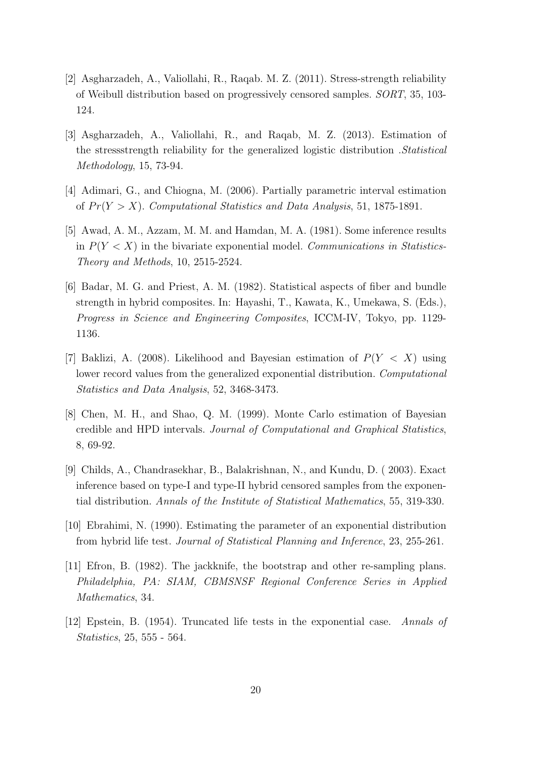- [2] Asgharzadeh, A., Valiollahi, R., Raqab. M. Z. (2011). Stress-strength reliability of Weibull distribution based on progressively censored samples. *SORT*, 35, 103- 124.
- [3] Asgharzadeh, A., Valiollahi, R., and Raqab, M. Z. (2013). Estimation of the stressstrength reliability for the generalized logistic distribution .*Statistical Methodology*, 15, 73-94.
- [4] Adimari, G., and Chiogna, M. (2006). Partially parametric interval estimation of  $Pr(Y > X)$ . *Computational Statistics and Data Analysis*, 51, 1875-1891.
- [5] Awad, A. M., Azzam, M. M. and Hamdan, M. A. (1981). Some inference results in *P*(*Y < X*) in the bivariate exponential model. *Communications in Statistics-Theory and Methods*, 10, 2515-2524.
- [6] Badar, M. G. and Priest, A. M. (1982). Statistical aspects of fiber and bundle strength in hybrid composites. In: Hayashi, T., Kawata, K., Umekawa, S. (Eds.), *Progress in Science and Engineering Composites*, ICCM-IV, Tokyo, pp. 1129- 1136.
- [7] Baklizi, A. (2008). Likelihood and Bayesian estimation of *P*(*Y < X*) using lower record values from the generalized exponential distribution. *Computational Statistics and Data Analysis*, 52, 3468-3473.
- [8] Chen, M. H., and Shao, Q. M. (1999). Monte Carlo estimation of Bayesian credible and HPD intervals. *Journal of Computational and Graphical Statistics*, 8, 69-92.
- [9] Childs, A., Chandrasekhar, B., Balakrishnan, N., and Kundu, D. ( 2003). Exact inference based on type-I and type-II hybrid censored samples from the exponential distribution. *Annals of the Institute of Statistical Mathematics*, 55, 319-330.
- [10] Ebrahimi, N. (1990). Estimating the parameter of an exponential distribution from hybrid life test. *Journal of Statistical Planning and Inference*, 23, 255-261.
- [11] Efron, B. (1982). The jackknife, the bootstrap and other re-sampling plans. *Philadelphia, PA: SIAM, CBMSNSF Regional Conference Series in Applied Mathematics*, 34.
- [12] Epstein, B. (1954). Truncated life tests in the exponential case. *Annals of Statistics*, 25, 555 - 564.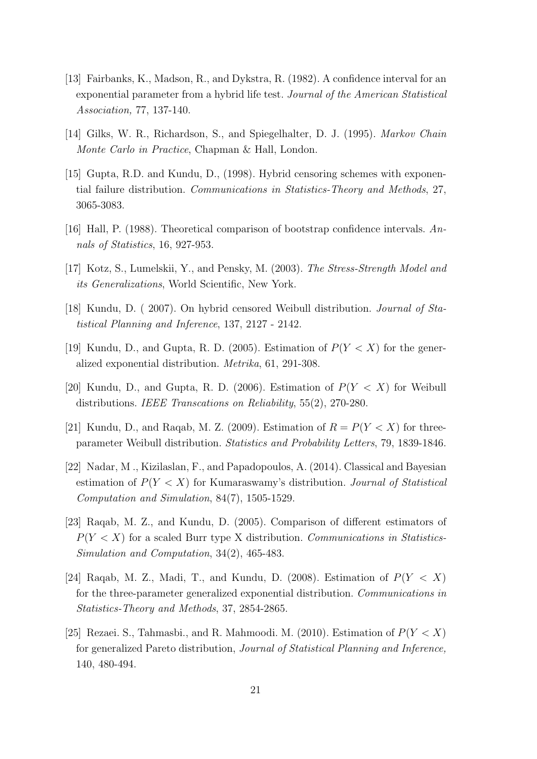- [13] Fairbanks, K., Madson, R., and Dykstra, R. (1982). A confidence interval for an exponential parameter from a hybrid life test. *Journal of the American Statistical Association,* 77, 137-140.
- [14] Gilks, W. R., Richardson, S., and Spiegelhalter, D. J. (1995). *Markov Chain Monte Carlo in Practice*, Chapman & Hall, London.
- [15] Gupta, R.D. and Kundu, D., (1998). Hybrid censoring schemes with exponential failure distribution. *Communications in Statistics-Theory and Methods*, 27, 3065-3083.
- [16] Hall, P. (1988). Theoretical comparison of bootstrap confidence intervals. *Annals of Statistics*, 16, 927-953.
- [17] Kotz, S., Lumelskii, Y., and Pensky, M. (2003). *The Stress-Strength Model and its Generalizations*, World Scientific, New York.
- [18] Kundu, D. ( 2007). On hybrid censored Weibull distribution. *Journal of Statistical Planning and Inference*, 137, 2127 - 2142.
- [19] Kundu, D., and Gupta, R. D. (2005). Estimation of  $P(Y < X)$  for the generalized exponential distribution. *Metrika*, 61, 291-308.
- [20] Kundu, D., and Gupta, R. D. (2006). Estimation of *P*(*Y < X*) for Weibull distributions. *IEEE Transcations on Reliability*, 55(2), 270-280.
- [21] Kundu, D., and Raqab, M. Z. (2009). Estimation of  $R = P(Y < X)$  for threeparameter Weibull distribution. *Statistics and Probability Letters*, 79, 1839-1846.
- [22] Nadar, M ., Kizilaslan, F., and Papadopoulos, A. (2014). Classical and Bayesian estimation of *P*(*Y < X*) for Kumaraswamy's distribution. *Journal of Statistical Computation and Simulation*, 84(7), 1505-1529.
- [23] Raqab, M. Z., and Kundu, D. (2005). Comparison of different estimators of  $P(Y \leq X)$  for a scaled Burr type X distribution. *Communications in Statistics*-*Simulation and Computation*, 34(2), 465-483.
- [24] Raqab, M. Z., Madi, T., and Kundu, D. (2008). Estimation of *P*(*Y < X*) for the three-parameter generalized exponential distribution. *Communications in Statistics-Theory and Methods*, 37, 2854-2865.
- [25] Rezaei. S., Tahmasbi., and R. Mahmoodi. M. (2010). Estimation of  $P(Y < X)$ for generalized Pareto distribution, *Journal of Statistical Planning and Inference,* 140, 480-494.